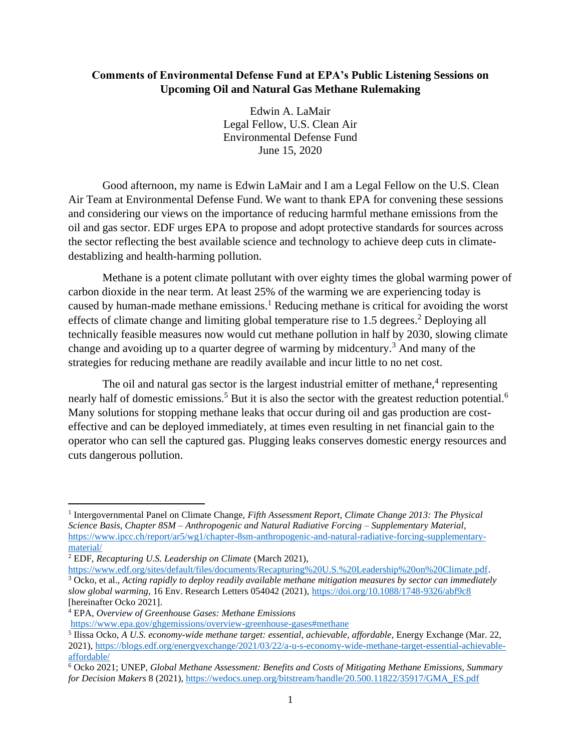# **Comments of Environmental Defense Fund at EPA's Public Listening Sessions on Upcoming Oil and Natural Gas Methane Rulemaking**

Edwin A. LaMair Legal Fellow, U.S. Clean Air Environmental Defense Fund June 15, 2020

Good afternoon, my name is Edwin LaMair and I am a Legal Fellow on the U.S. Clean Air Team at Environmental Defense Fund. We want to thank EPA for convening these sessions and considering our views on the importance of reducing harmful methane emissions from the oil and gas sector. EDF urges EPA to propose and adopt protective standards for sources across the sector reflecting the best available science and technology to achieve deep cuts in climatedestablizing and health-harming pollution.

Methane is a potent climate pollutant with over eighty times the global warming power of carbon dioxide in the near term. At least 25% of the warming we are experiencing today is caused by human-made methane emissions.<sup>1</sup> Reducing methane is critical for avoiding the worst effects of climate change and limiting global temperature rise to 1.5 degrees.<sup>2</sup> Deploying all technically feasible measures now would cut methane pollution in half by 2030, slowing climate change and avoiding up to a quarter degree of warming by midcentury.<sup>3</sup> And many of the strategies for reducing methane are readily available and incur little to no net cost.

The oil and natural gas sector is the largest industrial emitter of methane,<sup>4</sup> representing nearly half of domestic emissions.<sup>5</sup> But it is also the sector with the greatest reduction potential.<sup>6</sup> Many solutions for stopping methane leaks that occur during oil and gas production are costeffective and can be deployed immediately, at times even resulting in net financial gain to the operator who can sell the captured gas. Plugging leaks conserves domestic energy resources and cuts dangerous pollution.

<sup>1</sup> Intergovernmental Panel on Climate Change, *Fifth Assessment Report, Climate Change 2013: The Physical Science Basis, Chapter 8SM – Anthropogenic and Natural Radiative Forcing – Supplementary Material*, [https://www.ipcc.ch/report/ar5/wg1/chapter-8sm-anthropogenic-and-natural-radiative-forcing-supplementary](https://www.ipcc.ch/report/ar5/wg1/chapter-8sm-anthropogenic-and-natural-radiative-forcing-supplementary-material/)[material/](https://www.ipcc.ch/report/ar5/wg1/chapter-8sm-anthropogenic-and-natural-radiative-forcing-supplementary-material/)

<sup>2</sup> EDF, *Recapturing U.S. Leadership on Climate* (March 2021),

[https://www.edf.org/sites/default/files/documents/Recapturing%20U.S.%20Leadership%20on%20Climate.pdf.](https://www.edf.org/sites/default/files/documents/Recapturing%20U.S.%20Leadership%20on%20Climate.pdf) <sup>3</sup> Ocko, et al., *Acting rapidly to deploy readily available methane mitigation measures by sector can immediately slow global warming*, 16 Env. Research Letters 054042 (2021)[, https://doi.org/10.1088/1748-9326/abf9c8](https://doi.org/10.1088/1748-9326/abf9c8) [hereinafter Ocko 2021].

<sup>4</sup> EPA, *Overview of Greenhouse Gases: Methane Emissions*

<https://www.epa.gov/ghgemissions/overview-greenhouse-gases#methane>

<sup>5</sup> [Ilissa Ocko,](https://blogs.edf.org/energyexchange/author/iocko/) *A U.S. economy-wide methane target: essential, achievable, affordable*, Energy Exchange (Mar. 22, 2021), [https://blogs.edf.org/energyexchange/2021/03/22/a-u-s-economy-wide-methane-target-essential-achievable](https://blogs.edf.org/energyexchange/2021/03/22/a-u-s-economy-wide-methane-target-essential-achievable-affordable/)[affordable/](https://blogs.edf.org/energyexchange/2021/03/22/a-u-s-economy-wide-methane-target-essential-achievable-affordable/)

<sup>6</sup> Ocko 2021; UNEP, *Global Methane Assessment: Benefits and Costs of Mitigating Methane Emissions, Summary for Decision Makers* 8 (2021), [https://wedocs.unep.org/bitstream/handle/20.500.11822/35917/GMA\\_ES.pdf](https://wedocs.unep.org/bitstream/handle/20.500.11822/35917/GMA_ES.pdf)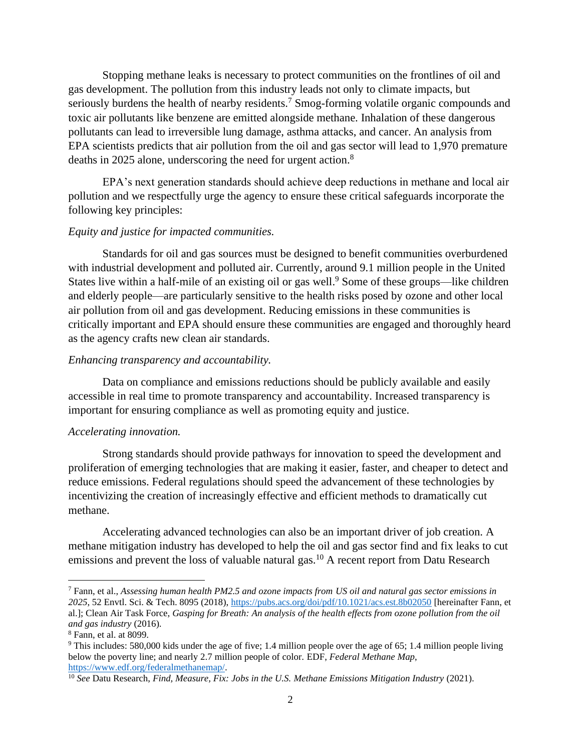Stopping methane leaks is necessary to protect communities on the frontlines of oil and gas development. The pollution from this industry leads not only to climate impacts, but seriously burdens the health of nearby residents.<sup>7</sup> Smog-forming volatile organic compounds and toxic air pollutants like benzene are emitted alongside methane. Inhalation of these dangerous pollutants can lead to irreversible lung damage, asthma attacks, and cancer. An analysis from EPA scientists predicts that air pollution from the oil and gas sector will lead to 1,970 premature deaths in 2025 alone, underscoring the need for urgent action.<sup>8</sup>

EPA's next generation standards should achieve deep reductions in methane and local air pollution and we respectfully urge the agency to ensure these critical safeguards incorporate the following key principles:

# *Equity and justice for impacted communities.*

Standards for oil and gas sources must be designed to benefit communities overburdened with industrial development and polluted air. Currently, around 9.1 million people in the United States live within a half-mile of an existing oil or gas well.<sup>9</sup> Some of these groups—like children and elderly people—are particularly sensitive to the health risks posed by ozone and other local air pollution from oil and gas development. Reducing emissions in these communities is critically important and EPA should ensure these communities are engaged and thoroughly heard as the agency crafts new clean air standards.

## *Enhancing transparency and accountability.*

Data on compliance and emissions reductions should be publicly available and easily accessible in real time to promote transparency and accountability. Increased transparency is important for ensuring compliance as well as promoting equity and justice.

### *Accelerating innovation.*

Strong standards should provide pathways for innovation to speed the development and proliferation of emerging technologies that are making it easier, faster, and cheaper to detect and reduce emissions. Federal regulations should speed the advancement of these technologies by incentivizing the creation of increasingly effective and efficient methods to dramatically cut methane.

Accelerating advanced technologies can also be an important driver of job creation. A methane mitigation industry has developed to help the oil and gas sector find and fix leaks to cut emissions and prevent the loss of valuable natural gas.<sup>10</sup> A recent report from Datu Research

<sup>7</sup> Fann, et al., *Assessing human health PM2.5 and ozone impacts from US oil and natural gas sector emissions in 2025*, 52 Envtl. Sci. & Tech. 8095 (2018), <https://pubs.acs.org/doi/pdf/10.1021/acs.est.8b02050> [hereinafter Fann, et al.]; Clean Air Task Force, *Gasping for Breath: An analysis of the health effects from ozone pollution from the oil and gas industry* (2016).

<sup>8</sup> Fann, et al. at 8099.

<sup>9</sup> This includes: 580,000 kids under the age of five; 1.4 million people over the age of 65; 1.4 million people living below the poverty line; and nearly 2.7 million people of color. EDF, *Federal Methane Map*, [https://www.edf.org/federalmethanemap/.](https://www.edf.org/federalmethanemap/)

<sup>10</sup> *See* Datu Research, *Find, Measure, Fix: Jobs in the U.S. Methane Emissions Mitigation Industry* (2021).